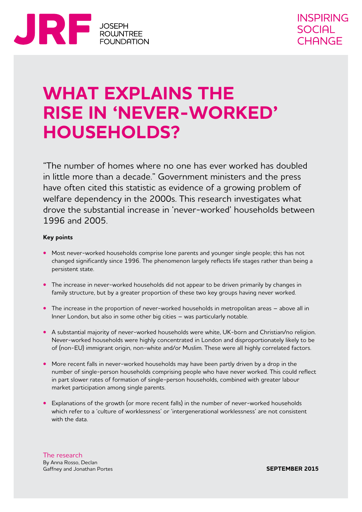

# **WHAT EXPLAINS THE RISE IN 'NEVER-WORKED' HOUSEHOLDS?**

"The number of homes where no one has ever worked has doubled in little more than a decade." Government ministers and the press have often cited this statistic as evidence of a growing problem of welfare dependency in the 2000s. This research investigates what drove the substantial increase in 'never-worked' households between 1996 and 2005.

#### **Key points**

- **•** Most never-worked households comprise lone parents and younger single people; this has not changed significantly since 1996. The phenomenon largely reflects life stages rather than being a persistent state.
- **•** The increase in never-worked households did not appear to be driven primarily by changes in family structure, but by a greater proportion of these two key groups having never worked.
- **•** The increase in the proportion of never-worked households in metropolitan areas above all in Inner London, but also in some other big cities – was particularly notable.
- **•** A substantial majority of never-worked households were white, UK-born and Christian/no religion. Never-worked households were highly concentrated in London and disproportionately likely to be of (non-EU) immigrant origin, non-white and/or Muslim. These were all highly correlated factors.
- **•** More recent falls in never-worked households may have been partly driven by a drop in the number of single-person households comprising people who have never worked. This could reflect in part slower rates of formation of single-person households, combined with greater labour market participation among single parents.
- **•** Explanations of the growth (or more recent falls) in the number of never-worked households which refer to a 'culture of worklessness' or 'intergenerational worklessness' are not consistent with the data.

The research By Anna Rosso, Declan Gaffney and Jonathan Portes

**SEPTEMBER 2015**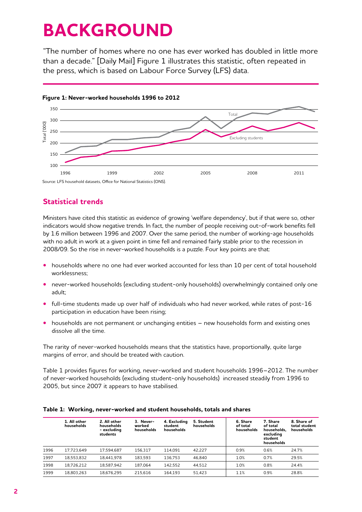# **BACKGROUND**

"The number of homes where no one has ever worked has doubled in little more than a decade." [Daily Mail] Figure 1 illustrates this statistic, often repeated in the press, which is based on Labour Force Survey (LFS) data.



#### **Figure 1: Never-worked households 1996 to 2012**

## **Statistical trends**

Ministers have cited this statistic as evidence of growing 'welfare dependency', but if that were so, other indicators would show negative trends. In fact, the number of people receiving out-of-work benefits fell by 1.6 million between 1996 and 2007. Over the same period, the number of working-age households with no adult in work at a given point in time fell and remained fairly stable prior to the recession in 2008/09. So the rise in never-worked households is a puzzle. Four key points are that:

- **•** households where no one had ever worked accounted for less than 10 per cent of total household worklessness;
- never-worked households (excluding student-only households) overwhelmingly contained only one adult;
- **•** full-time students made up over half of individuals who had never worked, while rates of post-16 participation in education have been rising;
- households are not permanent or unchanging entities new households form and existing ones dissolve all the time.

The rarity of never-worked households means that the statistics have, proportionally, quite large margins of error, and should be treated with caution.

Table 1 provides figures for working, never-worked and student households 1996–2012. The number of never-worked households (excluding student-only households) increased steadily from 1996 to 2005, but since 2007 it appears to have stabilised.

|      | 1. All other<br>households | 2. All other<br>households<br>- excluding<br>students | 3. Never-<br>worked<br>households | 4. Excluding<br>student<br>households | 5. Student<br>households | 6. Share<br>of total<br>households | 7. Share<br>of total<br>households,<br>excluding<br>student<br>households | 8. Share of<br>total student<br>households |
|------|----------------------------|-------------------------------------------------------|-----------------------------------|---------------------------------------|--------------------------|------------------------------------|---------------------------------------------------------------------------|--------------------------------------------|
| 1996 | 17.723.649                 | 17.594.687                                            | 156.317                           | 114.091                               | 42.227                   | 0.9%                               | 0.6%                                                                      | 24.7%                                      |
| 1997 | 18.553.832                 | 18.441.978                                            | 183.593                           | 136.753                               | 46.840                   | 1.0%                               | 0.7%                                                                      | 29.5%                                      |
| 1998 | 18.726.212                 | 18.587.942                                            | 187.064                           | 142.552                               | 44.512                   | 1.0%                               | 0.8%                                                                      | 24.4%                                      |
| 1999 | 18.803.263                 | 18.676.295                                            | 215.616                           | 164.193                               | 51.423                   | 1.1%                               | 0.9%                                                                      | 28.8%                                      |

#### **Table 1: Working, never-worked and student households, totals and shares**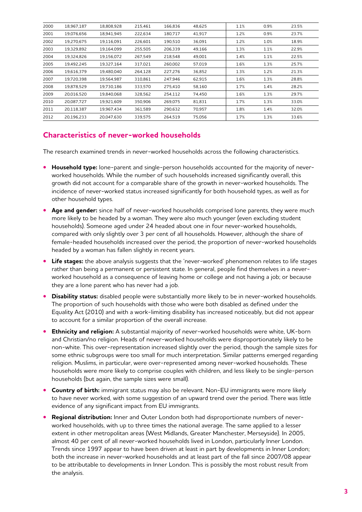| 2000 | 18,967,187 | 18,808,928 | 215,461 | 166.836 | 48,625 | 1.1% | 0.9% | 23.5% |
|------|------------|------------|---------|---------|--------|------|------|-------|
| 2001 | 19.076.656 | 18,941,945 | 222.634 | 180.717 | 41,917 | 1.2% | 0.9% | 23.7% |
| 2002 | 19,270,675 | 19,116,091 | 226,601 | 190.510 | 36,091 | 1.2% | 1.0% | 18.9% |
| 2003 | 19,329,892 | 19,164,099 | 255,505 | 206,339 | 49,166 | 1.3% | 1.1% | 22.9% |
| 2004 | 19,324,826 | 19,156,072 | 267,549 | 218,548 | 49,001 | 1.4% | 1.1% | 22.5% |
| 2005 | 19,492,245 | 19.327.164 | 317,021 | 260,002 | 57,019 | 1.6% | 1.3% | 25.7% |
| 2006 | 19,616,379 | 19.480.040 | 264,128 | 227,276 | 36,852 | 1.3% | 1.2% | 21.3% |
| 2007 | 19,720,398 | 19,564,987 | 310,861 | 247,946 | 62,915 | 1.6% | 1.3% | 28.8% |
| 2008 | 19,878,529 | 19.730.186 | 333,570 | 275,410 | 58,160 | 1.7% | 1.4% | 28.2% |
| 2009 | 20.016.520 | 19.840.068 | 328.562 | 254,112 | 74,450 | 1.6% | 1.3% | 29.7% |
| 2010 | 20,087,727 | 19,921,609 | 350,906 | 269.075 | 81,831 | 1.7% | 1.3% | 33.0% |
| 2011 | 20,118,387 | 19,967,434 | 361,589 | 290,632 | 70,957 | 1.8% | 1.4% | 32.0% |
| 2012 | 20.196.233 | 20.047.630 | 339.575 | 264.519 | 75,056 | 1.7% | 1.3% | 33.6% |

### **Characteristics of never-worked households**

The research examined trends in never-worked households across the following characteristics.

- **• Household type:** lone-parent and single-person households accounted for the majority of neverworked households. While the number of such households increased significantly overall, this growth did not account for a comparable share of the growth in never-worked households. The incidence of never-worked status increased significantly for both household types, as well as for other household types.
- **•** Age and gender: since half of never-worked households comprised lone parents, they were much more likely to be headed by a woman. They were also much younger (even excluding student households). Someone aged under 24 headed about one in four never-worked households, compared with only slightly over 3 per cent of all households. However, although the share of female-headed households increased over the period, the proportion of never-worked households headed by a woman has fallen slightly in recent years.
- **• Life stages:** the above analysis suggests that the 'never-worked' phenomenon relates to life stages rather than being a permanent or persistent state. In general, people find themselves in a neverworked household as a consequence of leaving home or college and not having a job; or because they are a lone parent who has never had a job.
- **• Disability status:** disabled people were substantially more likely to be in never-worked households. The proportion of such households with those who were both disabled as defined under the Equality Act (2010) and with a work-limiting disability has increased noticeably, but did not appear to account for a similar proportion of the overall increase.
- **• Ethnicity and religion:** A substantial majority of never-worked households were white, UK-born and Christian/no religion. Heads of never-worked households were disproportionately likely to be non-white. This over-representation increased slightly over the period, though the sample sizes for some ethnic subgroups were too small for much interpretation. Similar patterns emerged regarding religion. Muslims, in particular, were over-represented among never-worked households. These households were more likely to comprise couples with children, and less likely to be single-person households (but again, the sample sizes were small).
- **• Country of birth:** immigrant status may also be relevant. Non-EU immigrants were more likely to have never worked, with some suggestion of an upward trend over the period. There was little evidence of any significant impact from EU immigrants.
- **• Regional distribution:** Inner and Outer London both had disproportionate numbers of neverworked households, with up to three times the national average. The same applied to a lesser extent in other metropolitan areas (West Midlands, Greater Manchester, Merseyside). In 2005, almost 40 per cent of all never-worked households lived in London, particularly Inner London. Trends since 1997 appear to have been driven at least in part by developments in Inner London; both the increase in never-worked households and at least part of the fall since 2007/08 appear to be attributable to developments in Inner London. This is possibly the most robust result from the analysis.